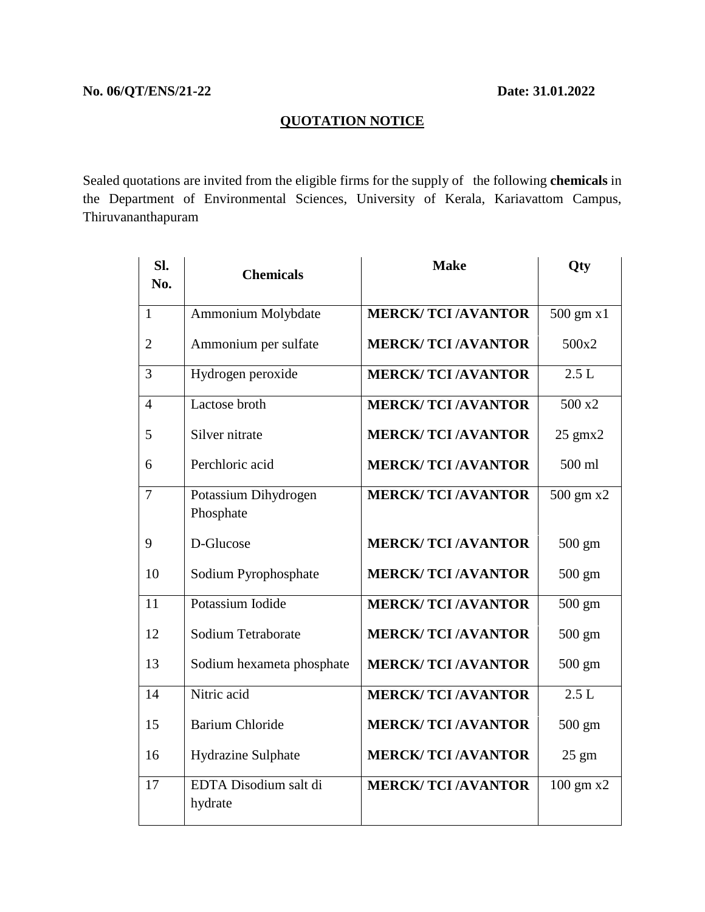## **QUOTATION NOTICE**

Sealed quotations are invited from the eligible firms for the supply of the following **chemicals** in the Department of Environmental Sciences, University of Kerala, Kariavattom Campus, Thiruvananthapuram

| Sl.<br>No.     | <b>Chemicals</b>                  | <b>Make</b>              | Qty                       |
|----------------|-----------------------------------|--------------------------|---------------------------|
| $\mathbf{1}$   | Ammonium Molybdate                | <b>MERCK/TCI/AVANTOR</b> | $500 \text{ gm} \times 1$ |
| $\overline{c}$ | Ammonium per sulfate              | <b>MERCK/TCI/AVANTOR</b> | 500x2                     |
| 3              | Hydrogen peroxide                 | <b>MERCK/TCI/AVANTOR</b> | 2.5L                      |
| $\overline{4}$ | Lactose broth                     | <b>MERCK/TCI/AVANTOR</b> | 500 x2                    |
| 5              | Silver nitrate                    | <b>MERCK/TCI/AVANTOR</b> | $25$ gmx $2$              |
| 6              | Perchloric acid                   | <b>MERCK/TCI/AVANTOR</b> | 500 ml                    |
| 7              | Potassium Dihydrogen<br>Phosphate | <b>MERCK/TCI/AVANTOR</b> | 500 gm x2                 |
| 9              | D-Glucose                         | <b>MERCK/TCI/AVANTOR</b> | $500 \text{ gm}$          |
| 10             | Sodium Pyrophosphate              | <b>MERCK/TCI/AVANTOR</b> | $500 \text{ gm}$          |
| 11             | Potassium Iodide                  | <b>MERCK/TCI/AVANTOR</b> | 500 gm                    |
| 12             | Sodium Tetraborate                | <b>MERCK/TCI/AVANTOR</b> | $500 \text{ gm}$          |
| 13             | Sodium hexameta phosphate         | <b>MERCK/TCI/AVANTOR</b> | 500 gm                    |
| 14             | Nitric acid                       | <b>MERCK/TCI/AVANTOR</b> | 2.5L                      |
| 15             | <b>Barium Chloride</b>            | <b>MERCK/TCI/AVANTOR</b> | $500 \text{ gm}$          |
| 16             | Hydrazine Sulphate                | <b>MERCK/TCI/AVANTOR</b> | $25 \text{ gm}$           |
| 17             | EDTA Disodium salt di<br>hydrate  | <b>MERCK/TCI/AVANTOR</b> | $100 \text{ gm}$ x2       |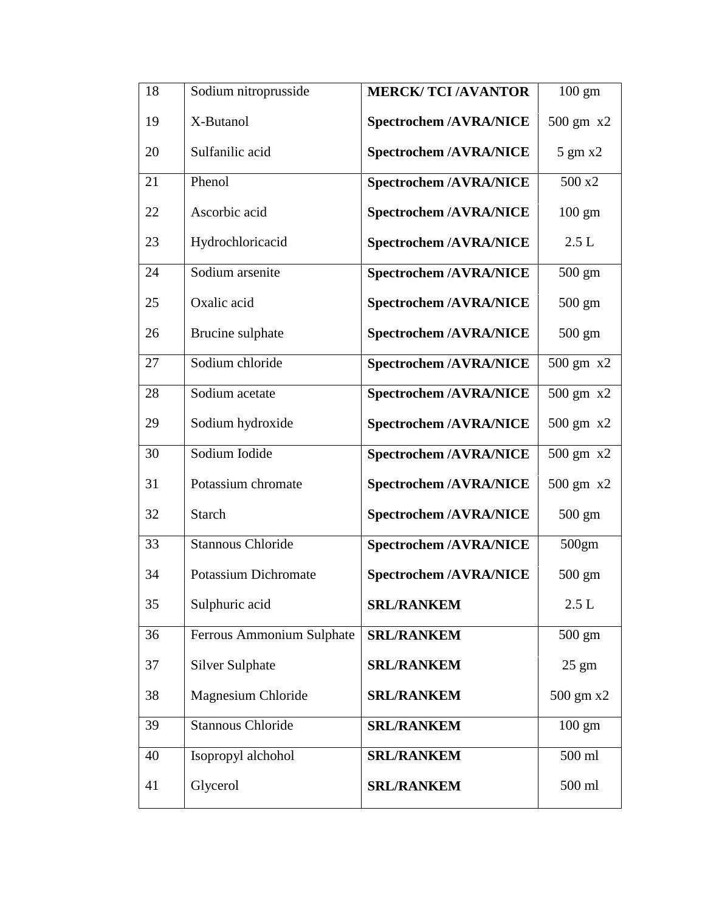| 18 | Sodium nitroprusside        | <b>MERCK/TCI/AVANTOR</b>      | $100 \text{ gm}$      |
|----|-----------------------------|-------------------------------|-----------------------|
| 19 | X-Butanol                   | <b>Spectrochem /AVRA/NICE</b> | $500 \text{ gm}$ $x2$ |
| 20 | Sulfanilic acid             | <b>Spectrochem /AVRA/NICE</b> | $5 \text{ gm x2}$     |
| 21 | Phenol                      | <b>Spectrochem /AVRA/NICE</b> | 500 x2                |
| 22 | Ascorbic acid               | <b>Spectrochem /AVRA/NICE</b> | $100 \text{ gm}$      |
| 23 | Hydrochloricacid            | <b>Spectrochem /AVRA/NICE</b> | 2.5L                  |
| 24 | Sodium arsenite             | <b>Spectrochem /AVRA/NICE</b> | $500 \text{ gm}$      |
| 25 | Oxalic acid                 | <b>Spectrochem /AVRA/NICE</b> | $500 \text{ gm}$      |
| 26 | Brucine sulphate            | <b>Spectrochem /AVRA/NICE</b> | $500 \text{ gm}$      |
| 27 | Sodium chloride             | <b>Spectrochem /AVRA/NICE</b> | 500 gm x2             |
| 28 | Sodium acetate              | <b>Spectrochem /AVRA/NICE</b> | 500 gm x2             |
| 29 | Sodium hydroxide            | <b>Spectrochem /AVRA/NICE</b> | 500 gm x2             |
| 30 | Sodium Iodide               | <b>Spectrochem /AVRA/NICE</b> | 500 gm x2             |
| 31 | Potassium chromate          | <b>Spectrochem /AVRA/NICE</b> | 500 gm x2             |
| 32 | <b>Starch</b>               | <b>Spectrochem /AVRA/NICE</b> | $500 \text{ gm}$      |
| 33 | <b>Stannous Chloride</b>    | <b>Spectrochem /AVRA/NICE</b> | 500gm                 |
| 34 | <b>Potassium Dichromate</b> | <b>Spectrochem /AVRA/NICE</b> | $500 \text{ gm}$      |
| 35 | Sulphuric acid              | <b>SRL/RANKEM</b>             | $2.5 L$               |
| 36 | Ferrous Ammonium Sulphate   | <b>SRL/RANKEM</b>             | $500 \text{ gm}$      |
| 37 | <b>Silver Sulphate</b>      | <b>SRL/RANKEM</b>             | $25 \text{ gm}$       |
| 38 | Magnesium Chloride          | <b>SRL/RANKEM</b>             | 500 gm x2             |
| 39 | <b>Stannous Chloride</b>    | <b>SRL/RANKEM</b>             | $100 \text{ gm}$      |
| 40 | Isopropyl alchohol          | <b>SRL/RANKEM</b>             | 500 ml                |
| 41 | Glycerol                    | <b>SRL/RANKEM</b>             | 500 ml                |